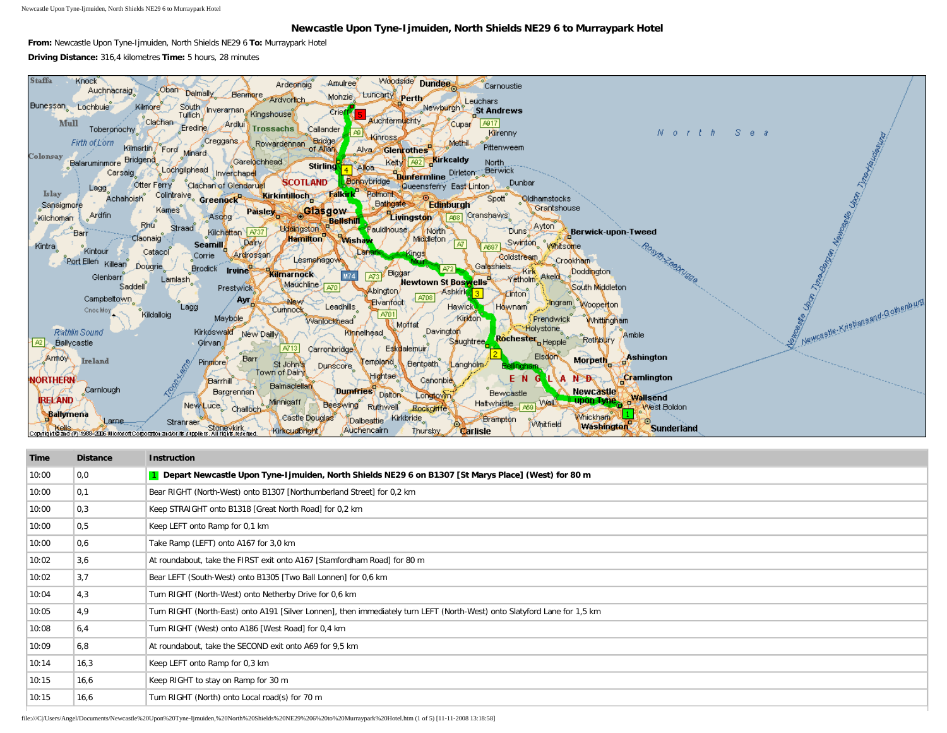Newcastle Upon Tyne-Ijmuiden, North Shields NE29 6 to Murraypark Hotel

## **Newcastle Upon Tyne-Ijmuiden, North Shields NE29 6 to Murraypark Hotel**

**From:** Newcastle Upon Tyne-Ijmuiden, North Shields NE29 6 **To:** Murraypark Hotel **Driving Distance:** 316,4 kilometres **Time:** 5 hours, 28 minutes



| <b>Time</b> | <b>Distance</b> | <b>Instruction</b>                                                                                                        |
|-------------|-----------------|---------------------------------------------------------------------------------------------------------------------------|
| 10:00       | 0,0             | 1 Depart Newcastle Upon Tyne-Ijmuiden, North Shields NE29 6 on B1307 [St Marys Place] (West) for 80 m                     |
| 10:00       | 0,1             | Bear RIGHT (North-West) onto B1307 [Northumberland Street] for 0,2 km                                                     |
| 10:00       | 0,3             | Keep STRAIGHT onto B1318 [Great North Road] for 0,2 km                                                                    |
| 10:00       | 0,5             | Keep LEFT onto Ramp for 0,1 km                                                                                            |
| 10:00       | 0,6             | Take Ramp (LEFT) onto A167 for 3,0 km                                                                                     |
| 10:02       | 3,6             | At roundabout, take the FIRST exit onto A167 [Stamfordham Road] for 80 m                                                  |
| 10:02       | 3,7             | Bear LEFT (South-West) onto B1305 [Two Ball Lonnen] for 0,6 km                                                            |
| 10:04       | 4,3             | Turn RIGHT (North-West) onto Netherby Drive for 0,6 km                                                                    |
| 10:05       | 4,9             | Turn RIGHT (North-East) onto A191 [Silver Lonnen], then immediately turn LEFT (North-West) onto Slatyford Lane for 1,5 km |
| 10:08       | 6,4             | Turn RIGHT (West) onto A186 [West Road] for 0,4 km                                                                        |
| 10:09       | 6,8             | At roundabout, take the SECOND exit onto A69 for 9,5 km                                                                   |
| 10:14       | 16,3            | Keep LEFT onto Ramp for 0,3 km                                                                                            |
| 10:15       | 16,6            | Keep RIGHT to stay on Ramp for 30 m                                                                                       |
| 10:15       | 16,6            | Turn RIGHT (North) onto Local road(s) for 70 m                                                                            |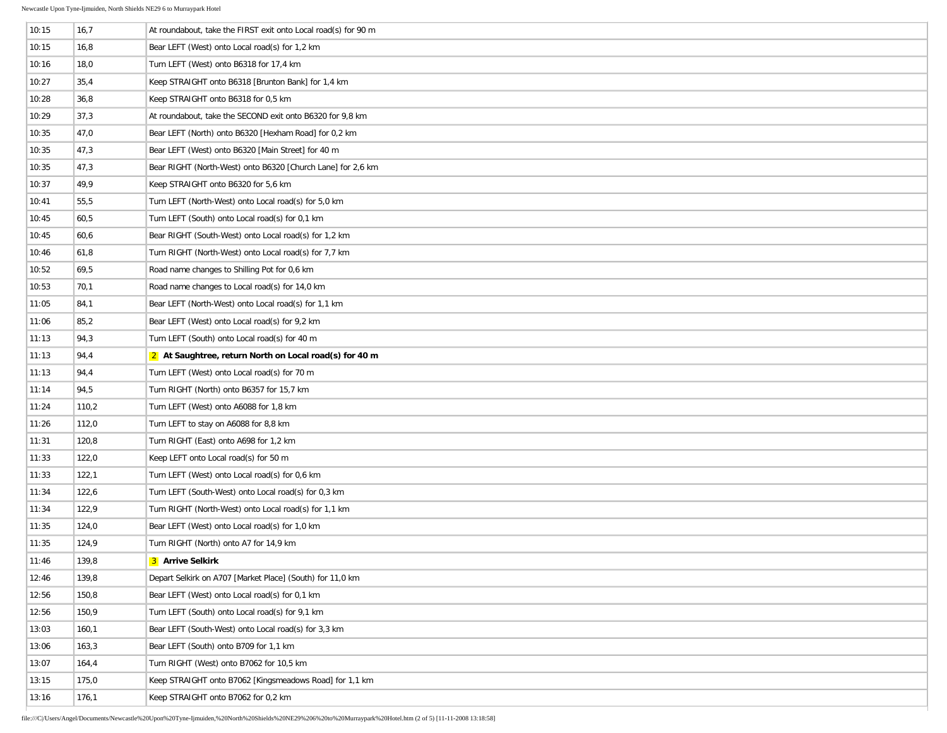| 10:15 | 16,7  | At roundabout, take the FIRST exit onto Local road(s) for 90 m |
|-------|-------|----------------------------------------------------------------|
| 10:15 | 16,8  | Bear LEFT (West) onto Local road(s) for 1,2 km                 |
| 10:16 | 18,0  | Turn LEFT (West) onto B6318 for 17,4 km                        |
| 10:27 | 35,4  | Keep STRAIGHT onto B6318 [Brunton Bank] for 1,4 km             |
| 10:28 | 36,8  | Keep STRAIGHT onto B6318 for 0,5 km                            |
| 10:29 | 37,3  | At roundabout, take the SECOND exit onto B6320 for 9,8 km      |
| 10:35 | 47,0  | Bear LEFT (North) onto B6320 [Hexham Road] for 0,2 km          |
| 10:35 | 47,3  | Bear LEFT (West) onto B6320 [Main Street] for 40 m             |
| 10:35 | 47,3  | Bear RIGHT (North-West) onto B6320 [Church Lane] for 2,6 km    |
| 10:37 | 49,9  | Keep STRAIGHT onto B6320 for 5,6 km                            |
| 10:41 | 55,5  | Turn LEFT (North-West) onto Local road(s) for 5,0 km           |
| 10:45 | 60,5  | Turn LEFT (South) onto Local road(s) for 0,1 km                |
| 10:45 | 60,6  | Bear RIGHT (South-West) onto Local road(s) for 1,2 km          |
| 10:46 | 61,8  | Turn RIGHT (North-West) onto Local road(s) for 7,7 km          |
| 10:52 | 69,5  | Road name changes to Shilling Pot for 0,6 km                   |
| 10:53 | 70,1  | Road name changes to Local road(s) for 14,0 km                 |
| 11:05 | 84,1  | Bear LEFT (North-West) onto Local road(s) for 1,1 km           |
| 11:06 | 85,2  | Bear LEFT (West) onto Local road(s) for 9,2 km                 |
| 11:13 | 94,3  | Turn LEFT (South) onto Local road(s) for 40 m                  |
| 11:13 | 94,4  | 2 At Saughtree, return North on Local road(s) for 40 m         |
| 11:13 | 94,4  | Turn LEFT (West) onto Local road(s) for 70 m                   |
| 11:14 | 94,5  | Turn RIGHT (North) onto B6357 for 15,7 km                      |
| 11:24 | 110,2 | Turn LEFT (West) onto A6088 for 1,8 km                         |
| 11:26 | 112,0 | Turn LEFT to stay on A6088 for 8,8 km                          |
| 11:31 | 120,8 | Turn RIGHT (East) onto A698 for 1,2 km                         |
| 11:33 | 122,0 | Keep LEFT onto Local road(s) for 50 m                          |
| 11:33 | 122,1 | Turn LEFT (West) onto Local road(s) for 0,6 km                 |
| 11:34 | 122,6 | Turn LEFT (South-West) onto Local road(s) for 0,3 km           |
| 11:34 | 122,9 | Turn RIGHT (North-West) onto Local road(s) for 1,1 km          |
| 11:35 | 124,0 | Bear LEFT (West) onto Local road(s) for 1,0 km                 |
| 11:35 | 124,9 | Turn RIGHT (North) onto A7 for 14,9 km                         |
| 11:46 | 139,8 | 3 Arrive Selkirk                                               |
| 12:46 | 139,8 | Depart Selkirk on A707 [Market Place] (South) for 11,0 km      |
| 12:56 | 150,8 | Bear LEFT (West) onto Local road(s) for 0,1 km                 |
| 12:56 | 150,9 | Turn LEFT (South) onto Local road(s) for 9,1 km                |
| 13:03 | 160,1 | Bear LEFT (South-West) onto Local road(s) for 3,3 km           |
| 13:06 | 163,3 | Bear LEFT (South) onto B709 for 1,1 km                         |
| 13:07 | 164,4 | Turn RIGHT (West) onto B7062 for 10,5 km                       |
| 13:15 | 175,0 | Keep STRAIGHT onto B7062 [Kingsmeadows Road] for 1,1 km        |
| 13:16 | 176,1 | Keep STRAIGHT onto B7062 for 0,2 km                            |
|       |       |                                                                |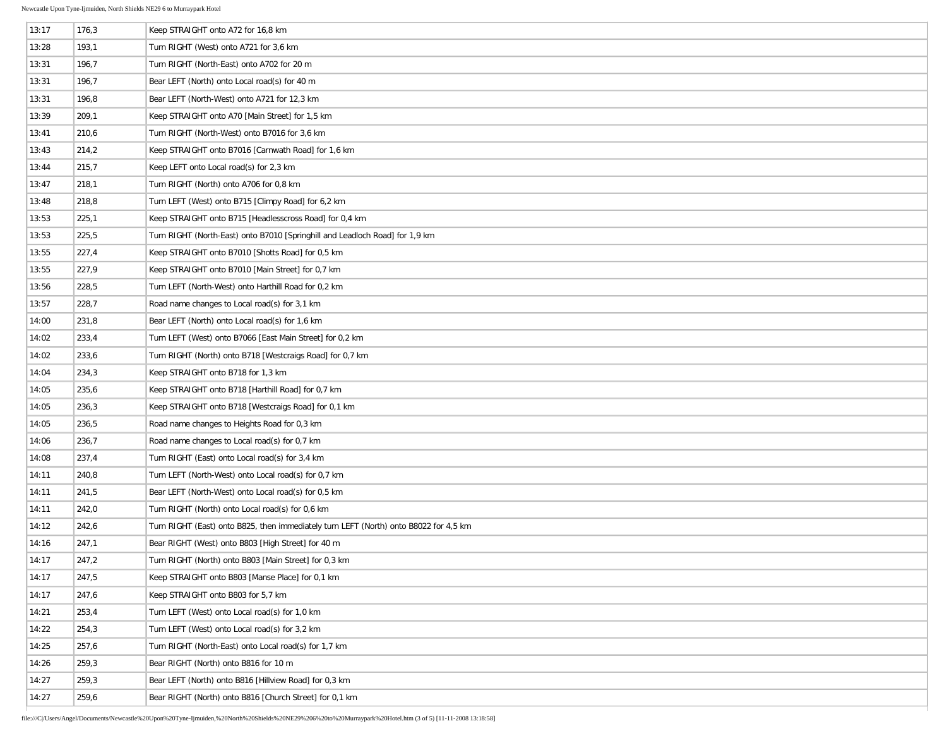| 13:17 | 176,3 | Keep STRAIGHT onto A72 for 16,8 km                                                    |
|-------|-------|---------------------------------------------------------------------------------------|
| 13:28 | 193,1 | Turn RIGHT (West) onto A721 for 3,6 km                                                |
| 13:31 | 196,7 | Turn RIGHT (North-East) onto A702 for 20 m                                            |
| 13:31 | 196,7 | Bear LEFT (North) onto Local road(s) for 40 m                                         |
| 13:31 | 196,8 | Bear LEFT (North-West) onto A721 for 12,3 km                                          |
| 13:39 | 209,1 | Keep STRAIGHT onto A70 [Main Street] for 1,5 km                                       |
| 13:41 | 210,6 | Turn RIGHT (North-West) onto B7016 for 3,6 km                                         |
| 13:43 | 214,2 | Keep STRAIGHT onto B7016 [Carnwath Road] for 1,6 km                                   |
| 13:44 | 215,7 | Keep LEFT onto Local road(s) for 2,3 km                                               |
| 13:47 | 218,1 | Turn RIGHT (North) onto A706 for 0,8 km                                               |
| 13:48 | 218,8 | Turn LEFT (West) onto B715 [Climpy Road] for 6,2 km                                   |
| 13:53 | 225,1 | Keep STRAIGHT onto B715 [Headlesscross Road] for 0,4 km                               |
| 13:53 | 225,5 | Turn RIGHT (North-East) onto B7010 [Springhill and Leadloch Road] for 1,9 km          |
| 13:55 | 227,4 | Keep STRAIGHT onto B7010 [Shotts Road] for 0,5 km                                     |
| 13:55 | 227,9 | Keep STRAIGHT onto B7010 [Main Street] for 0,7 km                                     |
| 13:56 | 228,5 | Turn LEFT (North-West) onto Harthill Road for 0,2 km                                  |
| 13:57 | 228,7 | Road name changes to Local road(s) for 3,1 km                                         |
| 14:00 | 231,8 | Bear LEFT (North) onto Local road(s) for 1,6 km                                       |
| 14:02 | 233,4 | Turn LEFT (West) onto B7066 [East Main Street] for 0,2 km                             |
| 14:02 | 233,6 | Turn RIGHT (North) onto B718 [Westcraigs Road] for 0,7 km                             |
| 14:04 | 234,3 | Keep STRAIGHT onto B718 for 1,3 km                                                    |
| 14:05 | 235,6 | Keep STRAIGHT onto B718 [Harthill Road] for 0,7 km                                    |
| 14:05 | 236,3 | Keep STRAIGHT onto B718 [Westcraigs Road] for 0,1 km                                  |
| 14:05 | 236,5 | Road name changes to Heights Road for 0,3 km                                          |
| 14:06 | 236,7 | Road name changes to Local road(s) for 0,7 km                                         |
| 14:08 | 237,4 | Turn RIGHT (East) onto Local road(s) for 3,4 km                                       |
| 14:11 | 240,8 | Turn LEFT (North-West) onto Local road(s) for 0,7 km                                  |
| 14:11 | 241,5 | Bear LEFT (North-West) onto Local road(s) for 0,5 km                                  |
| 14:11 | 242,0 | Turn RIGHT (North) onto Local road(s) for 0,6 km                                      |
| 14:12 | 242,6 | Turn RIGHT (East) onto B825, then immediately turn LEFT (North) onto B8022 for 4,5 km |
| 14:16 | 247,1 | Bear RIGHT (West) onto B803 [High Street] for 40 m                                    |
| 14:17 | 247,2 | Turn RIGHT (North) onto B803 [Main Street] for 0,3 km                                 |
| 14:17 | 247,5 | Keep STRAIGHT onto B803 [Manse Place] for 0,1 km                                      |
| 14:17 | 247,6 | Keep STRAIGHT onto B803 for 5,7 km                                                    |
| 14:21 | 253,4 | Turn LEFT (West) onto Local road(s) for 1,0 km                                        |
| 14:22 | 254,3 | Turn LEFT (West) onto Local road(s) for 3,2 km                                        |
| 14:25 | 257,6 | Turn RIGHT (North-East) onto Local road(s) for 1,7 km                                 |
| 14:26 | 259,3 | Bear RIGHT (North) onto B816 for 10 m                                                 |
| 14:27 | 259,3 | Bear LEFT (North) onto B816 [Hillview Road] for 0,3 km                                |
| 14:27 | 259,6 | Bear RIGHT (North) onto B816 [Church Street] for 0,1 km                               |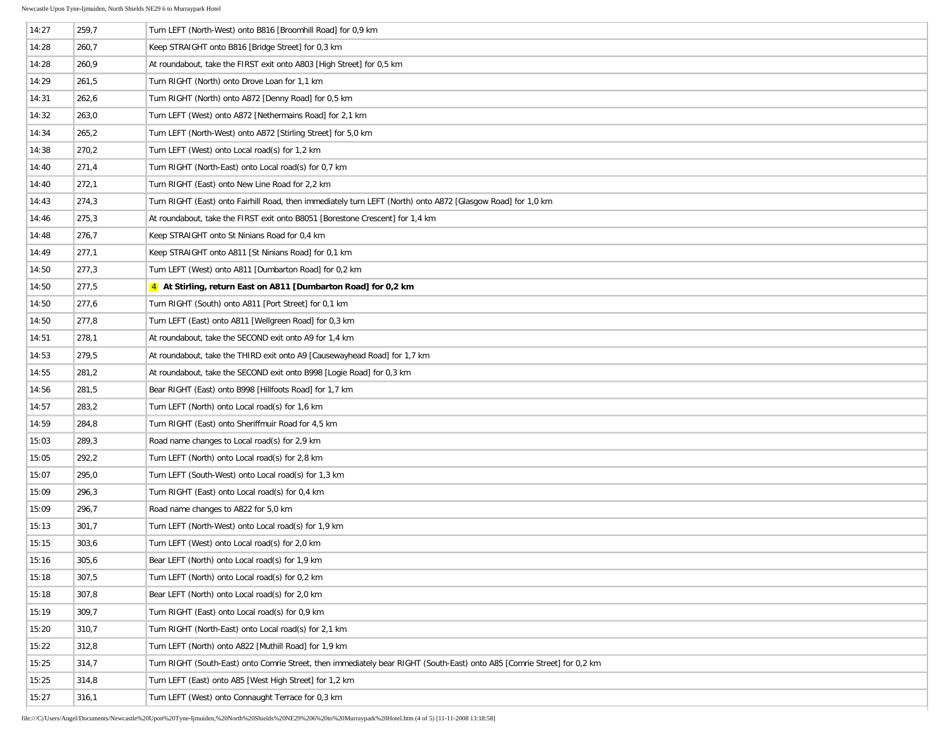| 14:27 | 259,7 | Turn LEFT (North-West) onto B816 [Broomhill Road] for 0,9 km                                                             |
|-------|-------|--------------------------------------------------------------------------------------------------------------------------|
| 14:28 | 260,7 | Keep STRAIGHT onto B816 [Bridge Street] for 0,3 km                                                                       |
| 14:28 | 260,9 | At roundabout, take the FIRST exit onto A803 [High Street] for 0,5 km                                                    |
| 14:29 | 261,5 | Turn RIGHT (North) onto Drove Loan for 1,1 km                                                                            |
| 14:31 | 262,6 | Turn RIGHT (North) onto A872 [Denny Road] for 0,5 km                                                                     |
| 14:32 | 263,0 | Turn LEFT (West) onto A872 [Nethermains Road] for 2,1 km                                                                 |
| 14:34 | 265,2 | Turn LEFT (North-West) onto A872 [Stirling Street] for 5,0 km                                                            |
| 14:38 | 270,2 | Turn LEFT (West) onto Local road(s) for 1,2 km                                                                           |
| 14:40 | 271,4 | Turn RIGHT (North-East) onto Local road(s) for 0.7 km                                                                    |
| 14:40 | 272,1 | Turn RIGHT (East) onto New Line Road for 2,2 km                                                                          |
| 14:43 | 274,3 | Turn RIGHT (East) onto Fairhill Road, then immediately turn LEFT (North) onto A872 [Glasgow Road] for 1,0 km             |
| 14:46 | 275,3 | At roundabout, take the FIRST exit onto B8051 [Borestone Crescent] for 1,4 km                                            |
| 14:48 | 276,7 | Keep STRAIGHT onto St Ninians Road for 0,4 km                                                                            |
| 14:49 | 277,1 | Keep STRAIGHT onto A811 [St Ninians Road] for 0,1 km                                                                     |
| 14:50 | 277,3 | Turn LEFT (West) onto A811 [Dumbarton Road] for 0,2 km                                                                   |
| 14:50 | 277,5 | 4 At Stirling, return East on A811 [Dumbarton Road] for 0,2 km                                                           |
| 14:50 | 277,6 | Turn RIGHT (South) onto A811 [Port Street] for 0,1 km                                                                    |
| 14:50 | 277,8 | Turn LEFT (East) onto A811 [Wellgreen Road] for 0,3 km                                                                   |
| 14:51 | 278,1 | At roundabout, take the SECOND exit onto A9 for 1,4 km                                                                   |
| 14:53 | 279,5 | At roundabout, take the THIRD exit onto A9 [Causewayhead Road] for 1,7 km                                                |
| 14:55 | 281,2 | At roundabout, take the SECOND exit onto B998 [Logie Road] for 0,3 km                                                    |
| 14:56 | 281,5 | Bear RIGHT (East) onto B998 [Hillfoots Road] for 1,7 km                                                                  |
| 14:57 | 283,2 | Turn LEFT (North) onto Local road(s) for 1,6 km                                                                          |
| 14:59 | 284,8 | Turn RIGHT (East) onto Sheriffmuir Road for 4,5 km                                                                       |
| 15:03 | 289,3 | Road name changes to Local road(s) for 2,9 km                                                                            |
| 15:05 | 292,2 | Turn LEFT (North) onto Local road(s) for 2,8 km                                                                          |
| 15:07 | 295,0 | Turn LEFT (South-West) onto Local road(s) for 1,3 km                                                                     |
| 15:09 | 296,3 | Turn RIGHT (East) onto Local road(s) for 0,4 km                                                                          |
| 15:09 | 296,7 | Road name changes to A822 for 5,0 km                                                                                     |
| 15:13 | 301,7 | Turn LEFT (North-West) onto Local road(s) for 1,9 km                                                                     |
| 15:15 | 303,6 | Turn LEFT (West) onto Local road(s) for 2,0 km                                                                           |
| 15:16 | 305,6 | Bear LEFT (North) onto Local road(s) for 1,9 km                                                                          |
| 15:18 | 307,5 | Turn LEFT (North) onto Local road(s) for 0.2 km                                                                          |
| 15:18 | 307,8 | Bear LEFT (North) onto Local road(s) for 2,0 km                                                                          |
| 15:19 | 309,7 | Turn RIGHT (East) onto Local road(s) for 0.9 km                                                                          |
| 15:20 | 310,7 | Turn RIGHT (North-East) onto Local road(s) for 2,1 km                                                                    |
| 15:22 | 312,8 | Turn LEFT (North) onto A822 [Muthill Road] for 1,9 km                                                                    |
| 15:25 | 314,7 | Turn RIGHT (South-East) onto Comrie Street, then immediately bear RIGHT (South-East) onto A85 [Comrie Street] for 0,2 km |
| 15:25 | 314,8 | Turn LEFT (East) onto A85 [West High Street] for 1,2 km                                                                  |
| 15:27 | 316,1 | Turn LEFT (West) onto Connaught Terrace for 0,3 km                                                                       |
|       |       |                                                                                                                          |